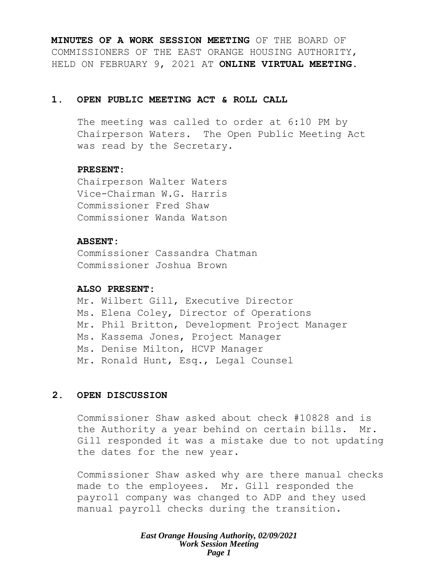**MINUTES OF A WORK SESSION MEETING** OF THE BOARD OF COMMISSIONERS OF THE EAST ORANGE HOUSING AUTHORITY, HELD ON FEBRUARY 9, 2021 AT **ONLINE VIRTUAL MEETING**.

# **1. OPEN PUBLIC MEETING ACT & ROLL CALL**

The meeting was called to order at 6:10 PM by Chairperson Waters. The Open Public Meeting Act was read by the Secretary.

# **PRESENT:**

Chairperson Walter Waters Vice-Chairman W.G. Harris Commissioner Fred Shaw Commissioner Wanda Watson

# **ABSENT:**

Commissioner Cassandra Chatman Commissioner Joshua Brown

# **ALSO PRESENT:**

Mr. Wilbert Gill, Executive Director Ms. Elena Coley, Director of Operations Mr. Phil Britton, Development Project Manager Ms. Kassema Jones, Project Manager Ms. Denise Milton, HCVP Manager Mr. Ronald Hunt, Esq., Legal Counsel

# **2. OPEN DISCUSSION**

Commissioner Shaw asked about check #10828 and is the Authority a year behind on certain bills. Mr. Gill responded it was a mistake due to not updating the dates for the new year.

Commissioner Shaw asked why are there manual checks made to the employees. Mr. Gill responded the payroll company was changed to ADP and they used manual payroll checks during the transition.

> *East Orange Housing Authority, 02/09/2021 Work Session Meeting Page 1*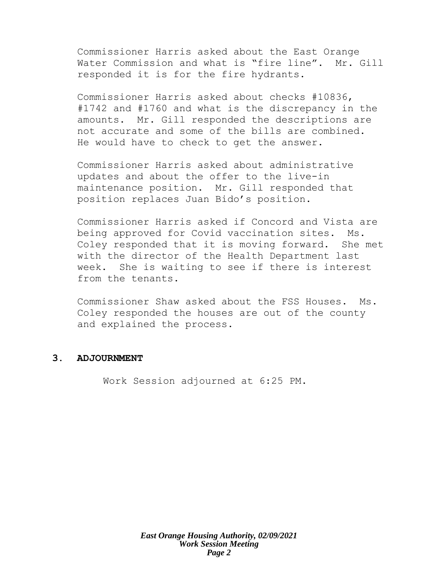Commissioner Harris asked about the East Orange Water Commission and what is "fire line". Mr. Gill responded it is for the fire hydrants.

Commissioner Harris asked about checks #10836, #1742 and #1760 and what is the discrepancy in the amounts. Mr. Gill responded the descriptions are not accurate and some of the bills are combined. He would have to check to get the answer.

Commissioner Harris asked about administrative updates and about the offer to the live-in maintenance position. Mr. Gill responded that position replaces Juan Bido's position.

Commissioner Harris asked if Concord and Vista are being approved for Covid vaccination sites. Ms. Coley responded that it is moving forward. She met with the director of the Health Department last week. She is waiting to see if there is interest from the tenants.

Commissioner Shaw asked about the FSS Houses. Ms. Coley responded the houses are out of the county and explained the process.

# **3. ADJOURNMENT**

Work Session adjourned at 6:25 PM.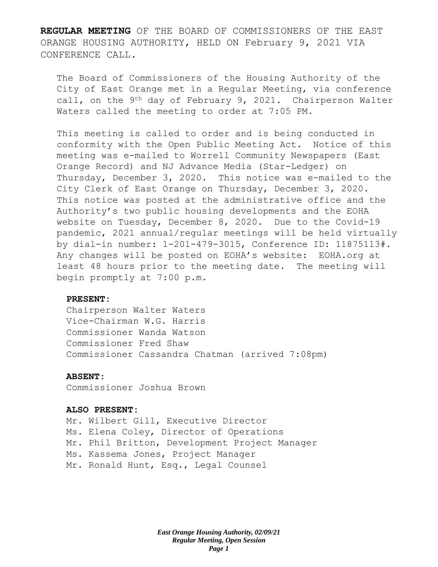**REGULAR MEETING** OF THE BOARD OF COMMISSIONERS OF THE EAST ORANGE HOUSING AUTHORITY, HELD ON February 9, 2021 VIA CONFERENCE CALL.

The Board of Commissioners of the Housing Authority of the City of East Orange met in a Regular Meeting, via conference call, on the 9<sup>th</sup> day of February 9, 2021. Chairperson Walter Waters called the meeting to order at 7:05 PM.

This meeting is called to order and is being conducted in conformity with the Open Public Meeting Act. Notice of this meeting was e-mailed to Worrell Community Newspapers (East Orange Record) and NJ Advance Media (Star-Ledger) on Thursday, December 3, 2020. This notice was e-mailed to the City Clerk of East Orange on Thursday, December 3, 2020. This notice was posted at the administrative office and the Authority's two public housing developments and the EOHA website on Tuesday, December 8, 2020. Due to the Covid-19 pandemic, 2021 annual/regular meetings will be held virtually by dial-in number: 1-201-479-3015, Conference ID: 11875113#. Any changes will be posted on EOHA's website: EOHA.org at least 48 hours prior to the meeting date. The meeting will begin promptly at 7:00 p.m.

## **PRESENT:**

Chairperson Walter Waters Vice-Chairman W.G. Harris Commissioner Wanda Watson Commissioner Fred Shaw Commissioner Cassandra Chatman (arrived 7:08pm)

#### **ABSENT:**

Commissioner Joshua Brown

### **ALSO PRESENT:**

Mr. Wilbert Gill, Executive Director Ms. Elena Coley, Director of Operations Mr. Phil Britton, Development Project Manager Ms. Kassema Jones, Project Manager Mr. Ronald Hunt, Esq., Legal Counsel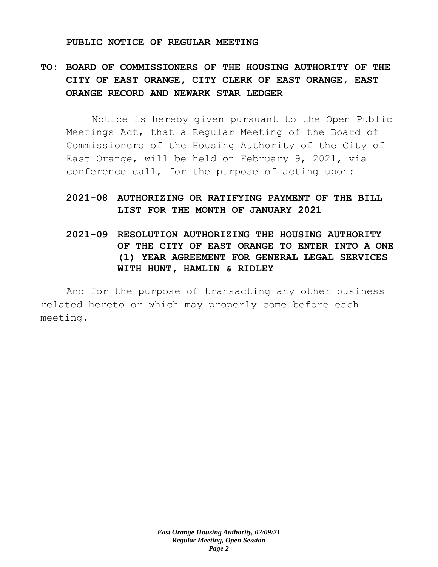#### **PUBLIC NOTICE OF REGULAR MEETING**

# **TO: BOARD OF COMMISSIONERS OF THE HOUSING AUTHORITY OF THE CITY OF EAST ORANGE, CITY CLERK OF EAST ORANGE, EAST ORANGE RECORD AND NEWARK STAR LEDGER**

Notice is hereby given pursuant to the Open Public Meetings Act, that a Regular Meeting of the Board of Commissioners of the Housing Authority of the City of East Orange, will be held on February 9, 2021, via conference call, for the purpose of acting upon:

# **2021-08 AUTHORIZING OR RATIFYING PAYMENT OF THE BILL LIST FOR THE MONTH OF JANUARY 2021**

**2021-09 RESOLUTION AUTHORIZING THE HOUSING AUTHORITY OF THE CITY OF EAST ORANGE TO ENTER INTO A ONE (1) YEAR AGREEMENT FOR GENERAL LEGAL SERVICES WITH HUNT, HAMLIN & RIDLEY** 

And for the purpose of transacting any other business related hereto or which may properly come before each meeting.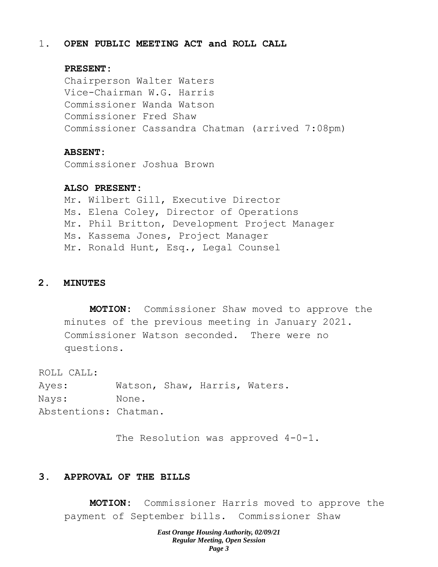# 1. **OPEN PUBLIC MEETING ACT and ROLL CALL**

# **PRESENT:**

Chairperson Walter Waters Vice-Chairman W.G. Harris Commissioner Wanda Watson Commissioner Fred Shaw Commissioner Cassandra Chatman (arrived 7:08pm)

#### **ABSENT:**

Commissioner Joshua Brown

## **ALSO PRESENT:**

Mr. Wilbert Gill, Executive Director Ms. Elena Coley, Director of Operations Mr. Phil Britton, Development Project Manager Ms. Kassema Jones, Project Manager Mr. Ronald Hunt, Esq., Legal Counsel

# **2. MINUTES**

**MOTION:** Commissioner Shaw moved to approve the minutes of the previous meeting in January 2021. Commissioner Watson seconded. There were no questions.

ROLL CALL:

Ayes: Watson, Shaw, Harris, Waters. Nays: None. Abstentions: Chatman.

The Resolution was approved  $4-0-1$ .

# **3. APPROVAL OF THE BILLS**

**MOTION:** Commissioner Harris moved to approve the payment of September bills. Commissioner Shaw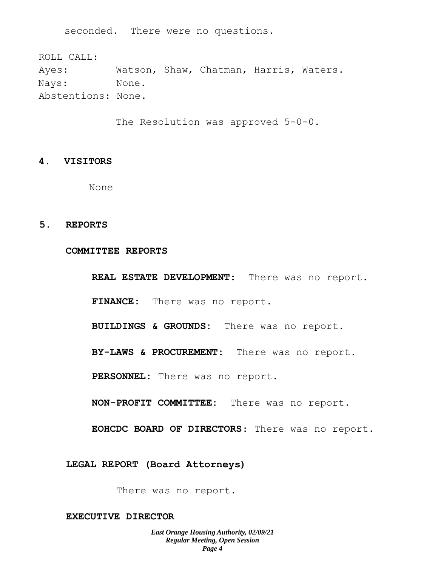seconded. There were no questions.

ROLL CALL: Ayes: Watson, Shaw, Chatman, Harris, Waters. Nays: None. Abstentions: None.

The Resolution was approved 5-0-0.

# **4. VISITORS**

None

## **5. REPORTS**

#### **COMMITTEE REPORTS**

**REAL ESTATE DEVELOPMENT:** There was no report. **FINANCE:** There was no report.

**BUILDINGS & GROUNDS:** There was no report.

**BY-LAWS & PROCUREMENT:** There was no report.

**PERSONNEL:** There was no report.

**NON-PROFIT COMMITTEE:** There was no report.

**EOHCDC BOARD OF DIRECTORS**: There was no report.

**LEGAL REPORT (Board Attorneys)**

There was no report.

## **EXECUTIVE DIRECTOR**

*East Orange Housing Authority, 02/09/21 Regular Meeting, Open Session Page 4*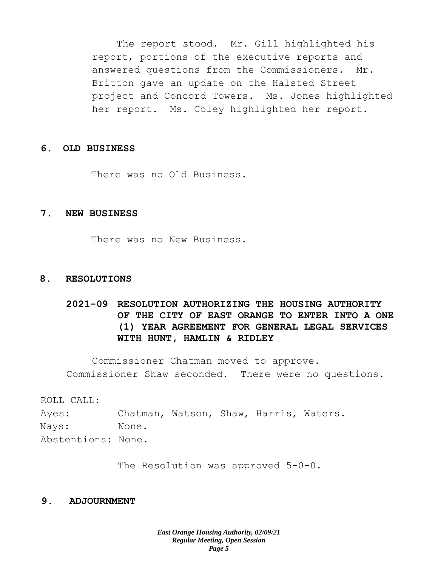The report stood. Mr. Gill highlighted his report, portions of the executive reports and answered questions from the Commissioners. Mr. Britton gave an update on the Halsted Street project and Concord Towers. Ms. Jones highlighted her report. Ms. Coley highlighted her report.

## **6. OLD BUSINESS**

There was no Old Business.

# **7. NEW BUSINESS**

There was no New Business.

#### **8. RESOLUTIONS**

# **2021-09 RESOLUTION AUTHORIZING THE HOUSING AUTHORITY OF THE CITY OF EAST ORANGE TO ENTER INTO A ONE (1) YEAR AGREEMENT FOR GENERAL LEGAL SERVICES WITH HUNT, HAMLIN & RIDLEY**

Commissioner Chatman moved to approve. Commissioner Shaw seconded. There were no questions.

ROLL CALL:

Ayes: Chatman, Watson, Shaw, Harris, Waters. Nays: None. Abstentions: None.

The Resolution was approved 5-0-0.

## **9. ADJOURNMENT**